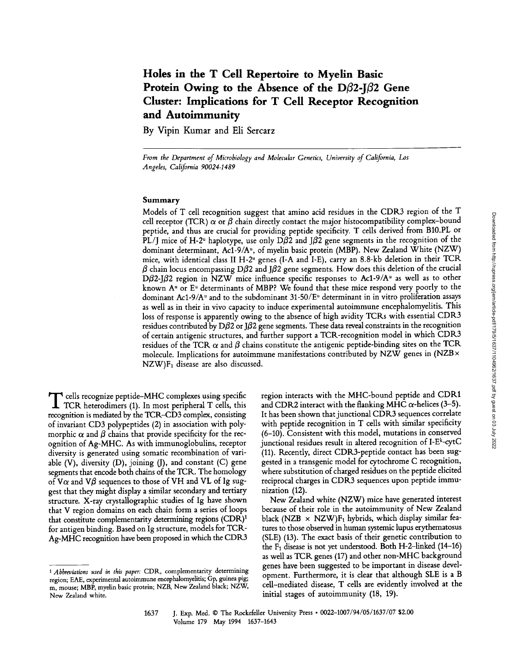# **Holes in the T Cell Repertoire to Myelin Basic**  Protein Owing to the Absence of the D $\beta$ 2-J $\beta$ 2 Gene **Cluster: Implications for T Cell Receptor Recognition and Autoimmunity**

**By Vipin Kumar and Eli Sercarz** 

*From the Department of Microbiology and Molecular Genetics, University of California, Los Angeles, California 90024-1489* 

### Summary

Models of T cell recognition suggest that amino acid residues in the CDR3 region of the T cell receptor (TCR)  $\alpha$  or  $\beta$  chain directly contact the major histocompatibility complex-bound peptide, and thus are crucial for providing peptide specificity. T cells derived from B10.PL or PL/J mice of H-2<sup>u</sup> haplotype, use only D $\beta$ 2 and J $\beta$ 2 gene segments in the recognition of the dominant determinant, Ac1-9/A<sup>u</sup>, of myelin basic protein (MBP). New Zealand White (NZW) mice, with identical class II H-2<sup>u</sup> genes (I-A and I-E), carry an 8.8-kb deletion in their TCR  $\beta$  chain locus encompassing D $\beta$ 2 and J $\beta$ 2 gene segments. How does this deletion of the crucial D $\beta$ 2-J $\beta$ 2 region in NZW mice influence specific responses to Ac1-9/A<sup>u</sup> as well as to other known  $A<sup>u</sup>$  or  $E<sup>u</sup>$  determinants of MBP? We found that these mice respond very poorly to the dominant Ac1-9/A<sup>u</sup> and to the subdominant 31-50/E<sup>u</sup> determinant in in vitro proliferation assays as well as in their in vivo capacity to induce experimental autoimmune encephalomyelitis. This loss of response is apparently owing to the absence of high avidity TCRs with essential CDR3 residues contributed by D $\beta$ 2 or J $\beta$ 2 gene segments. These data reveal constraints in the recognition of certain antigenic structures, and further support a TCR-recognition model in which CDR3 residues of the TCR  $\alpha$  and  $\beta$  chains constitute the antigenic peptide-binding sites on the TCR molecule. Implications for autoimmune manifestations contributed by NZW genes in  $(NZB \times$  $NZW$ ) $F_1$  disease are also discussed.

T cells recognize peptide-MHC complexes using specific TCR heterodimers (1). In most peripheral T cells, this recognition is mediated by the TCR-CD3 complex, consisting of invariant CD3 polypeptides (2) in association with polymorphic  $\alpha$  and  $\beta$  chains that provide specificity for the recognition of Ag-MHC. As with immunoglobulins, receptor diversity is generated using somatic recombination of variable  $(V)$ , diversity  $(D)$ , joining  $(J)$ , and constant  $(C)$  gene segments that encode both chains of the TCR. The homology of V $\alpha$  and V $\beta$  sequences to those of VH and VL of Ig suggest that they might display a similar secondary and tertiary structure. X-ray crystallographic studies of Ig have shown that V region domains on each chain form a series of loops that constitute complementarity determining regions (CDR)<sup>1</sup> for antigen binding. Based on Ig structure, models for TCR-Ag-MHC recognition have been proposed in which the CDR3 region interacts with the MHC-bound peptide and CDR1 and CDR2 interact with the flanking MHC  $\alpha$ -helices (3-5). It has been shown that junctional CDR3 sequences correlate with peptide recognition in T cells with similar specificity (6-10). Consistent with this model, mutations in conserved junctional residues result in altered recognition of I-Ek-cytC (11). Recently, direct CDR3-peptide contact has been suggested in a transgenic model for cytochrome C recognition, where substitution of charged residues on the peptide elicited reciprocal charges in CDR3 sequences upon peptide immunization (12).

New Zealand white (NZW) mice have generated interest because of their role in the autoimmunity of New Zealand black (NZB  $\times$  NZW)F<sub>1</sub> hybrids, which display similar features to those observed in human systemic lupus erythematosus (SLE) (13). The exact basis of their genetic contribution to the F1 disease is not yet understood. Both H-2-1inked (14-16) as well as TCR genes (17) and other non-MHC background genes have been suggested to be important in disease development. Furthermore, it is clear that although SLE is a B cell-mediated disease, T cells are evidently involved at the initial stages of autoimmunity (18, 19).

*<sup>1</sup> Abbreviations used in this paper:* CDR, complementarity determining region; EAE, experimental autoimmune encephalomyelitis; Gp, guinea pig; m, mouse; MBP, myelin basic protein; NZB, New Zealand black; NZW, New Zealand white.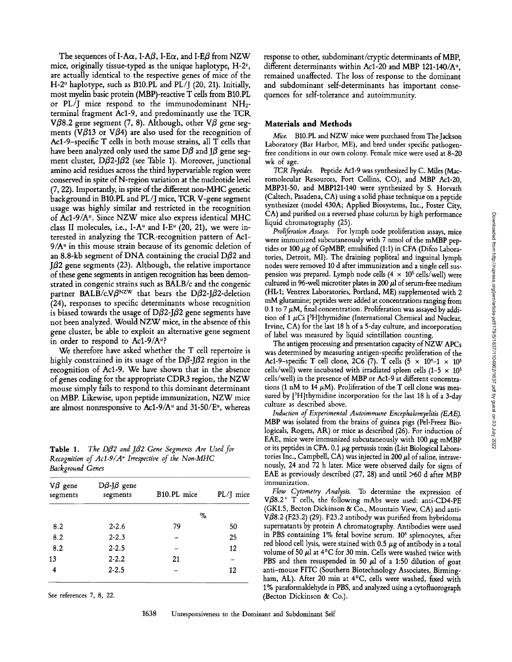The sequences of I-A $\alpha$ , I-A $\beta$ , I-E $\alpha$ , and I-E $\beta$  from NZW mice, originally tissue-typed as the unique haplotype,  $H-2^z$ , are actually identical to the respective genes of mice of the H-2<sup> $u$ </sup> haplotype, such as B10.PL and PL/J (20, 21). Initially, most myelin basic protein (MBP)-reactive T cells from B10.PL or  $PL/I$  mice respond to the immunodominant  $NH<sub>2</sub>$ terminal fragment Acl-9, and predominantly use the TCR V $\beta$ 8.2 gene segment (7, 8). Although, other V $\beta$  gene segments (V $\beta$ 13 or V $\beta$ 4) are also used for the recognition of Acl-9-specific T cells in both mouse strains, all T cells that have been analyzed only used the same D $\beta$  and J $\beta$  gene segment cluster, D $\beta$ 2-J $\beta$ 2 (see Table 1). Moreover, junctional amino acid residues across the third hypervariable region were conserved in spite of N-region variation at the nucleotide level (7, 22). Importantly, in spite of the different non-MHC genetic background in B10.PL and *PL/J* mice, TCR. V-gene segment usage was highly similar and restricted in the recognition of Ac1-9/A<sup>u</sup>. Since NZW mice also express identical MHC class II molecules, i.e., I-A<sup> $u$ </sup> and I-E<sup> $u$ </sup> (20, 21), we were interested in analyzing the TCR-recognition pattern of Acl- $9/A<sup>u</sup>$  in this mouse strain because of its genomic deletion of an 8.8-kb segment of DNA containing the crucial D $\beta$ 2 and  $J\beta$ 2 gene segments (23). Although, the relative importance of these gene segments in antigen recognition has been demonstrated in congenic strains such as BALB/c and the congenic partner BALB/c.V $\beta$ <sup>NZW</sup> that bears the D $\beta$ 2-J $\beta$ 2-deletion (24), responses to specific determinants whose recognition is biased towards the usage of D $\beta$ 2-J $\beta$ 2 gene segments have not been analyzed. Would NZW mice, in the absence of this gene cluster, be able to exploit an alternative gene segment in order to respond to Ac1-9/A<sup>u</sup>?

We therefore have asked whether the T cell repertoire is highly constrained in its usage of the  $D\beta$ - $\beta$ 2 region in the recognition of Acl-9. We have shown that in the absence of genes coding for the appropriate CDR3 region, the NZW mouse simply fails to respond to this dominant determinant on MBP. Likewise, upon peptide immunization, NZW mice are almost nonresponsive to Ac1-9/A<sup> $u$ </sup> and 31-50/E<sup> $u$ </sup>, whereas

**Table 1.** *The D* $\beta$ *2 and J* $\beta$ *2 Gene Segments Are Used for Recognition of Ac1-9/A<sup>\*</sup> Irrespective of the Non-MHC Background Genes* 

| $V\beta$ gene<br>segments | $D\beta$ -J $\beta$ gene<br>segments | B10.PL mice | $PL/J$ mice |
|---------------------------|--------------------------------------|-------------|-------------|
|                           |                                      | %           |             |
| 8.2                       | $2 - 2.6$                            | 79          | 50          |
| 8.2                       | $2 - 2.3$                            |             | 25          |
| 8.2                       | $2 - 2.5$                            |             | 12          |
| 13                        | $2 - 2.2$                            | 21          |             |
| 4                         | $2 - 2.5$                            |             | 12          |

See references 7, 8, 22.

response to other, subdominant/cryptic determinants of MBP, different determinants within Ac1-20 and MBP 121-140/A<sup>u</sup>, remained unaffected. The loss of response to the dominant and subdominant self-determinants has important consequences for self-tolerance and autoimmunity.

#### **Materials and Methods**

*Mice.* B10.PL and NZW mice were purchased from The Jackson Laboratory (Bar Harbor, ME), and bred under specific pathogenfree conditions in our own colony. Female mice were used at 8-20 wk of age.

*TCR Peptides.* Peptide Acl-9 was synthesized by C. Miles (Macromolecular Resources, Fort Collins, CO), and MBP Acl-20, MBP31-50, and MBP121-140 were synthesized by S. Horvath (Caltech, Pasadena, CA) using a solid phase technique on a peptide synthesizer (model 430A; Applied Biosystems, Inc., Foster City, CA) and purified on a reversed phase column by high performance liquid chromatography (25).

*Proliferation Assays.* For lymph node proliferation assays, mice were immunized subcutaneously with 7 nmol of the mMBP peptides or  $100 \mu$ g of GpMBP, emulsified (1:1) in CFA (Difco Laboratories, Detroit, MI). The draining popliteal and inguinal lymph nodes were removed 10 d after immunization and a single cell suspension was prepared. Lymph node cells (4  $\times$  10<sup>5</sup> cells/well) were cultured in 96-well microtiter plates in 200  $\mu$ l of serum-free medium (HL-1; Ventrex Laboratories, Portland, ME) supplemented with 2 mM glutamine; peptides were added at concentrations ranging from 0.1 to 7  $\mu$ M, final concentration. Proliferation was assayed by addition of 1  $\mu$ Ci [<sup>3</sup>H]thymidine (International Chemical and Nuclear, Irvine, CA) for the last 18 h of a 5-day culture, and incorporation of label was measured by liquid scintillation counting.

The antigen processing and presentation capacity of NZW APCs was determined by measuring antigen-specific proliferation of the Ac1-9-specific T cell clone, 2C6 (7). T cells (5  $\times$  10<sup>4</sup>-1  $\times$  10<sup>5</sup> cells/well) were incubated with irradiated spleen cells  $(1-5 \times 10^5$ cells/well) in the presence of MBP or Acl-9 at different concentrations (1 nM to 14  $\mu$ M). Proliferation of the T cell clone was measured by [<sup>3</sup>H]thymidine incorporation for the last 18 h of a 3-day culture as described above.

*Induction of Experimental Autoimmune Encephalomyelitis (EAE).*  MBP was isolated from the brains of guinea pigs (Pel-Freez Biologicals, Rogers, AK) or mice as described (26). For induction of EAE, mice were immunized subcutaneously with 100  $\mu$ g mMBP or its peptides in CFA. 0.1  $\mu$ g pertussis toxin (List Biological Laboratories Inc., Campbell, CA) was injected in 200  $\mu$ l of saline, intravenously, 24 and 72 h later. Mice were observed daily for signs of EAE as previously described (27, 28) and until >60 d after MBP immunization.

*Flow Cytometry Analysis.* To determine the expression of V $\beta$ 8.2<sup>+</sup> T cells, the following mAbs were used: anti-CD4-PE (GK1.5, Becton Dickinson & Co., Mountain View, CA) and anti-V $\beta$ 8.2 (F23.2) (29). F23.2 antibody was purified from hybridoma supernatants by protein A chromatography. Antibodies were used in PBS containing 1% fetal bovine serum. 10<sup>6</sup> splenocytes, after red blood cell lysis, were stained with 0.5  $\mu$ g of antibody in a total volume of 50  $\mu$ l at 4°C for 30 min. Cells were washed twice with PBS and then resuspended in 50  $\mu$ l of a 1:50 dilution of goat anti-mouse FITC (Southern Biotechnology Associates, Birmingham, AL). After 20 min at 4°C, cells were washed, fixed with 1% paraformaldehyde in PBS, and analyzed using a cytofluorograph (Becton Dickinson & Co.).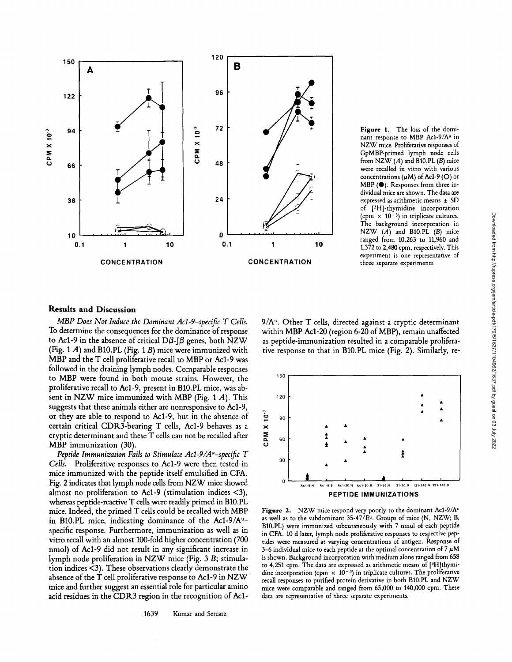

Figure 1. The loss of the dominant response to MBP Ac1-9/A<sup>u</sup> in NZW mice. Proliferative responses of GpMBP-primed lymph node cells from NZW  $(A)$  and B10.PL  $(B)$  mice were recalled in vitro with various concentrations  $(\mu M)$  of Ac1-9 (O) or MBP (0). Responses from three individual mice are shown. The data are expressed as arithmetic means  $\pm$  SD of [3H]-thymidine incorporation (cpm  $\times$  10<sup>-3</sup>) in triplicate cultures. The background incorporation in NZW (A) and B10.PL (B) mice ranged from 10,263 to 11,960 and 1,372 to 2,480 cpm, respectively. This experiment is one representative of three separate experiments.

## **Results and Discussion**

*MBP Does Not Induce the Dominant Acl-9-specific T Cells.*  To determine the consequences for the dominance of response to Ac1-9 in the absence of critical D $\beta$ -J $\beta$  genes, both NZW (Fig.  $1 A$ ) and B10.PL (Fig.  $1 B$ ) mice were immunized with MBP and the T cell proliferative recall to MBP or Acl-9 was followed in the draining lymph nodes. Comparable responses to MBP were found in both mouse strains. However, the proliferative recall to Acl-9, present in B10.PL mice, was absent in NZW mice immunized with MBP (Fig.  $1 \text{ } A$ ). This suggests that these animals either are nonresponsive to Acl-9, or they are able to respond to Acl-9, but in the absence of certain critical CDR3-bearing T cells, Acl-9 behaves as a cryptic determinant and these T cells can not be recalled after MBP immunization (30).

*Peptide Immunization Fails to Stimulate Acl-9/A"-specific T Cells.* Proliferative responses to Acl-9 were then tested in mice immunized with the peptide itself emulsified in CFA. Fig. 2 indicates that lymph node cells from NZW mice showed almost no proliferation to Acl-9 (stimulation indices <3), whereas peptide-reactive T cells were readily primed in B10.PL mice. Indeed, the primed T cells could be recalled with MBP in B10.PL mice, indicating dominance of the Ac1-9/A<sup>u</sup>specific response. Furthermore, immunization as well as in vitro recall with an almost 100-fold higher concentration (700 nmol) of Acl-9 did not result in any significant increase in lymph node proliferation in NZW mice (Fig. 3 B; stimulation indices <3). These observations clearly demonstrate the absence of the T cell proliferative response to Acl-9 in NZW mice and further suggest an essential role for particular amino acid residues in the CDR3 region in the recognition of Acl-

 $9/A<sup>u</sup>$ . Other T cells, directed against a cryptic determinant within MBP Acl-20 (region 6-20 of MBP), remain unaffected as peptide-immunization resulted in a comparable proliferative response to that in B10.PL mice (Fig. 2). Similarly, re-



Figure 2. NZW mice respond very poorly to the dominant Ac1-9/A<sup>u</sup> as well as to the subdominant  $35-47/E<sup>u</sup>$ . Groups of mice (N, NZW; B, B10.PL) were immunized subcutaneously with 7 nmol of each peptide in CFA. 10 d later, lymph node proliferative responses to respective peptides were measured at varying concentrations of antigen. Response of 3-6 individual mice to each peptide at the optimal concentration of 7  $\mu$ M is shown. Background incorporation with medium alone ranged from 658 to 4,251 cpm. The data are expressed as arithmetic means of [3H]thymidine incorporation (cpm  $\times$  10<sup>-3</sup>) in triplicate cultures. The proliferative recall responses to purified protein derivative in both B10.PL and NZW mice were comparable and ranged from 65,000 to 140,000 cpm. These data are representative of three separate experiments.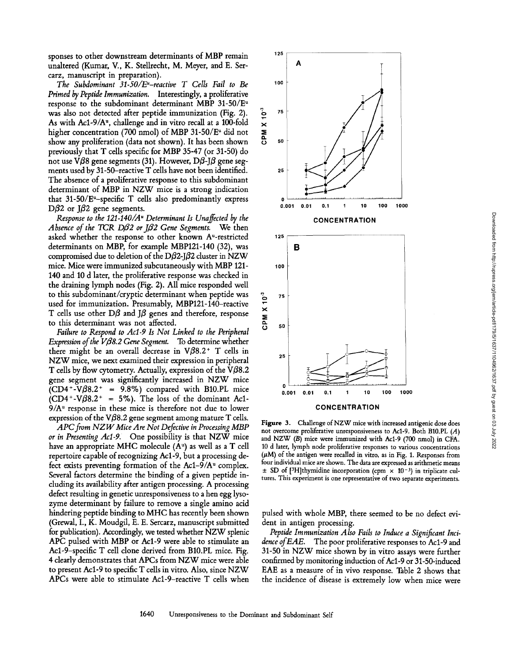sponses to other downstream determinants of MBP remain unaltered (Kumar, V., K. Stellrecht, M. Meyer, and E. Sercarz, manuscript in preparation).

*The Subdominant 31-50/E"-reactive T Cells Fail to Be Primed by Peptide Immunization.* Interestingly, a proliferative response to the subdominant determinant MBP  $31-50/E^u$ was also not detected after peptide immunization (Fig. 2). As with Acl-9/A", challenge and in vitro recall at a 100-fold higher concentration (700 nmol) of MBP 31-50/ $E^u$  did not show any proliferation (data not shown). It has been shown previously that T cells specific for MBP 35-47 (or 31-50) do not use Vβ8 gene segments (31). However, Dβ-Jβ gene segments used by 31-50-reactive T cells have not been identified. The absence of a proliferative response to this subdominant determinant of MBP in NZW mice is a strong indication that  $31-50/E^u$ -specific T cells also predominantly express D $\beta$ 2 or J $\beta$ 2 gene segments.

*Response to the 121-140/A" Determinant Is Unaffected by the Absence of tile TCR D/82 or Jfl2 Gene Segments.* We then asked whether the response to other known A"-restricted determinants on MBP, for example MBP121-140 (32), was compromised due to deletion of the D $\beta$ 2-J $\beta$ 2 cluster in NZW mice. Mice were immunized subcutaneously with MBP 121- 140 and 10 d later, the proliferative response was checked in the draining lymph nodes (Fig. 2). All mice responded well to this subdominant/cryptic determinant when peptide was used for immunization. Presumably, MBP121-140-reactive T cells use other  $D\beta$  and J $\beta$  genes and therefore, response to this determinant was not affected.

*Failure to Respond to Aci-9 Is Not Linked to the Peripheral Expression of the VB8.2 Gene Segment.* To determine whether there might be an overall decrease in  $V\beta8.2^+$  T cells in NZW mice, we next examined their expression in peripheral T cells by flow cytometry. Actually, expression of the  $V\beta8.2$ gene segment was significantly increased in NZW mice  $(CD4+V\beta8.2^+ = 9.8\%)$  compared with B10.PL mice  $(CD4+V\beta8.2^+ = 5\%)$ . The loss of the dominant Ac1- $9/A<sup>u</sup>$  response in these mice is therefore not due to lower expression of the V $\beta$ 8.2 gene segment among mature T cells.

*APC from NZW Mice Are Not Defective in Processing MBP or in Presenting Aci-9.* One possibility is that NZW mice have an appropriate MHC molecule (A") as well as a T cell repertoire capable of recognizing Acl-9, but a processing defect exists preventing formation of the  $Ac1-9/A^u$  complex. Several factors determine the binding of a given peptide including its availability after antigen processing. A processing defect resulting in genetic unresponsiveness to a hen egg lysozyme determinant by failure to remove a single amino acid hindering peptide binding to MHC has recently been shown (Grewal, I., K. Moudgil, E. E. Sercarz, manuscript submitted for publication). Accordingly, we tested whether NZW splenic APC pulsed with MBP or Acl-9 were able to stimulate an Acl-9-specific T cell clone derived from B10.PL mice. Fig. 4 clearly demonstrates that APCs from NZW mice were able to present Acl-9 to specific T cells in vitro. Also, since NZW APCs were able to stimulate Acl-9-reactive T cells when



Figure 3. Challenge of NZW mice with increased antigenic dose does not overcome proliferative unresponsiveness to Acl-9. Both B10.PL (A) and NZW (B) mice were immunized with Acl-9 (700 nmol) in CFA. 10 d later, lymph node proliferative responses to various concentrations  $(\mu M)$  of the antigen were recalled in vitro, as in Fig. 1. Responses from four individual mice are shown. The data are expressed as arithmetic means  $\pm$  SD of [3H]thymidine incorporation (cpm  $\times$  10<sup>-3</sup>) in triplicate cultures. This experiment is one representative of two separate experiments.

pulsed with whole MBP, there seemed to be no defect evident in antigen processing.

*Peptide Immunization Also Fails to Induce a Significant Incidence of EAE.* The poor proliferative responses to Acl-9 and 31-50 in NZW mice shown by in vitro assays were further confirmed by monitoring induction of Acl-9 or 31-50-induced EAE as a measure of in vivo response. Table 2 shows that the incidence of disease is extremely low when mice were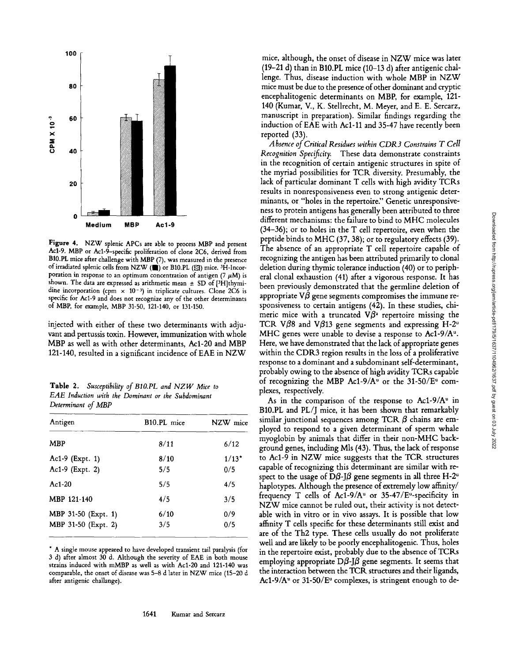

Figure 4. NZW splenic APCs are able to process MBP and present Acl-9. MBP or Acl-9-specific proliferation of clone 2C6, derived from B10.PL mice after challenge with MBP (7), was measured in the presence of irradiated splenic cells from NZW ( $\blacksquare$ ) or B10.PL ( $\boxtimes$ ) mice. <sup>3</sup>H-Incorporation in response to an optimum concentration of antigen (7  $\mu$ M) is shown. The data are expressed as arithmetic mean  $\pm$  SD of [3H]thymidine incorporation (cpm  $\times$  10<sup>-3</sup>) in triplicate cultures. Clone 2C6 is specific for Acl-9 and does not recognize any of the other determinants of MBP, for example, MBP 31-50, 121-140, or 131-150.

injected with either of these two determinants with adjuvant and pertussis toxin. However, immunization with whole MBP as well as with other determinants, Acl-20 and MBP 121-140, resulted in a significant incidence of EAE in NZW

Table 2. *Susceptibility of BIO.PL and NZW Mice to EAE Induction with the Dominant or the Subdominant Determinant of MBP* 

| Antigen                                    | B <sub>10</sub> .PL mice | NZW mice       |
|--------------------------------------------|--------------------------|----------------|
| <b>MBP</b>                                 | 8/11                     | 6/12           |
| Ac1-9 (Expt. 1)<br>Ac1-9 (Expt. 2)         | 8/10<br>5/5              | $1/13*$<br>0/5 |
| $Ac1-20$                                   | 5/5                      | 4/5            |
| MBP 121-140                                | 4/5                      | 3/5            |
| MBP 31-50 (Expt. 1)<br>MBP 31-50 (Expt. 2) | 6/10<br>3/5              | 0/9<br>0/5     |

\* A single mouse appeared to have developed transient tail paralysis (for 3 d) after almost 30 d. Although the severity of EAE in both mouse strains induced with mMBP as well as with Acl-20 and 121-140 was comparable, the onset of disease was 5-8 d later in NZW mice (15-20 d after antigenic challange).

mice, although, the onset of disease in NZW mice was later (19-21 d) than in B10.PL mice (10-13 d) after antigenic challenge. Thus, disease induction with whole MBP in NZW mice must be due to the presence of other dominant and cryptic encephalitogenic determinants on MBP, for example, 121- 140 (Kumar, V., K. Stellrecht, M. Meyer, and E. E. Sercarz, manuscript in preparation). Similar findings regarding the induction of EAE with Ac1-11 and 35-47 have recently been reported (33).

*Absence of Critical Residues within CDR3 Constrains T Cell Recognition Specificity.* These data demonstrate constraints in the recognition of certain antigenic structures in spite of the myriad possibilities for TCP, diversity. Presumably, the lack of particular dominant T cells with high avidity TCRs results in nonresponsiveness even to strong antigenic determinants, or "holes in the repertoire." Genetic unresponsiveness to protein antigens has generally been attributed to three different mechanisms: the failure to bind to MHC molecules (34-36); or to holes in the T cell repertoire, even when the peptide binds to MHC (37, 38); or to regulatory effects (39). The absence of an appropriate T cell repertoire capable of recognizing the antigen has been attributed primarily to clonal deletion during thymic tolerance induction (40) or to peripheral clonal exhaustion (41) after a vigorous response. It has been previously demonstrated that the germline deletion of appropriate  $\nabla\beta$  gene segments compromises the immune responsiveness to certain antigens (42). In these studies, chimeric mice with a truncated  $V\beta^2$  repertoire missing the TCR V $\beta$ 8 and V $\beta$ 13 gene segments and expressing H-2<sup>u</sup> MHC genes were unable to devise a response to Ac1-9/ $A^u$ . Here, we have demonstrated that the lack of appropriate genes within the CDR3 region results in the loss of a proliferative response to a dominant and a subdominant self-determinant, probably owing to the absence of high avidity TCRs capable of recognizing the MBP Ac1-9/A<sup>u</sup> or the 31-50/E<sup>u</sup> complexes, respectively.

As in the comparison of the response to Ac1-9/ $A^u$  in B10.PL and PL/J mice, it has been shown that remarkably similar junctional sequences among TCR  $\beta$  chains are employed to respond to a given determinant of sperm whale myoglobin by animals that differ in their non-MHC background genes, including Mls (43). Thus, the lack of response to Ac1-9 in NZW mice suggests that the TCR structures capable of recognizing this determinant are similar with respect to the usage of D $\beta$ -J $\beta$  gene segments in all three H-2<sup>u</sup> haplotypes. Although the presence of extremely low affinity/ frequency T cells of Ac1-9/A<sup>u</sup> or 35-47/E<sup>u</sup>-specificity in NZW mice cannot be ruled out, their activity is not detectable with in vitro or in vivo assays. It is possible that low affinity T cells specific for these determinants still exist and are of the Th2 type. These cells usually do not proliferate well and are likely to be poorly encephalitogenic. Thus, holes in the repertoire exist, probably due to the absence of TCRs employing appropriate D $\beta$ -J $\beta$  gene segments. It seems that the interaction between the TCR structures and their ligands, Ac1-9/ $A^u$  or 31-50/ $E^u$  complexes, is stringent enough to de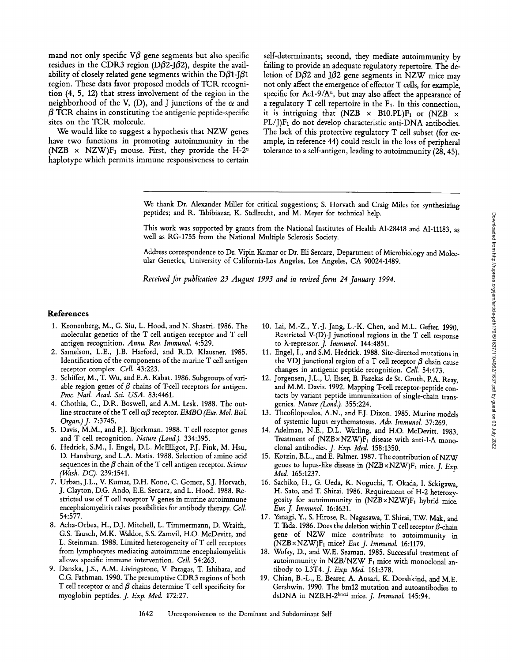mand not only specific  $\nabla\beta$  gene segments but also specific residues in the CDR3 region (D $\beta$ 2-J $\beta$ 2), despite the availability of closely related gene segments within the  $D\beta_1-\beta_1$ region. These data favor proposed models of TCK recognition (4, 5, 12) that stress involvement of the region in the neighborhood of the V, (D), and J junctions of the  $\alpha$  and  $\beta$  TCR chains in constituting the antigenic peptide-specific sites on the TCR molecule.

We would like to suggest a hypothesis that NZW genes have two functions in promoting autoimmunity in the (NZB  $\times$  NZW)F<sub>1</sub> mouse. First, they provide the H-2<sup>u</sup> haplotype which permits immune responsiveness to certain self-determinants; second, they mediate autoimmunity by failing to provide an adequate regulatory repertoire. The deletion of  $\bar{D}\beta$ 2 and J $\beta$ 2 gene segments in NZW mice may not only affect the emergence of effector T cells, for example, specific for Ac1-9/A $u$ , but may also affect the appearance of a regulatory  $T$  cell repertoire in the  $F_1$ . In this connection, it is intriguing that (NZB  $\times$  B10.PL)F<sub>1</sub> or (NZB  $\times$ PL/J)F1 do not develop characteristic anti-DNA antibodies. The lack of this protective regulatory T cell subset (for example, in reference 44) could result in the loss of peripheral tolerance to a self-antigen, leading to autoimmunity  $(28, 45)$ .

We thank Dr. Alexander Miller for critical suggestions; S. Horvath and Craig Miles for synthesizing peptides; and R. Tabibiazar, K. Stellrecht, and M. Meyer for technical help.

This work was supported by grants from the National Institutes of Health AI-28418 and AI-11183, as well as RG-1755 from the National Multiple Sclerosis Society.

Address correspondence to Dr. Vipin Kumar or Dr. Eli Sercarz, Department of Microbiology and Molecular Genetics, University of California-Los Angeles, Los Angeles, CA 90024-1489.

*Received for publication 23 August 1993 and in revised form 24 January 1994.* 

#### **References**

- 1. Kronenberg, M., G. Siu, L. Hood, and N. Shastri. 1986. The molecular genetics of the T cell antigen receptor and T cell antigen recognition. *Annu. Rev. Immunol.* 4:529.
- 2. Samelson, L.E., J.B. Harford, and R.D. Klausner. 1985. Identification of the components of the murine T cell antigen receptor complex. *Cell.* 43:223.
- 3. Schiffer, M., T. Wu, and E.A. Kabat. 1986. Subgroups of variable region genes of  $\beta$  chains of T-cell receptors for antigen. *Proc. Natl. Acad. Sci. USA.* 83:4461.
- 4. Chothia, C., D.R. Boswell, and A.M. Lesk. 1988. The outline structure of the T cell  $\alpha\beta$  receptor. *EMBO (Eur. Mol. Biol. Organ.) J.* 7:3745.
- 5. Davis, M.M., and P.J. Bjorkman. 1988. T cell receptor genes and T cell recognition. *Nature (Lond.).* 334:395.
- 6. Hedrick, S.M., I. Engel, D.L. McElligot, P.J. Fink, M. Hsu, D. Hansburg, and L.A. Matis. 1988. Selection of amino acid sequences in the  $\beta$  chain of the T cell antigen receptor. *Science (Wash. DC).* 239:1541.
- 7. Urban, J.L., V. Kumar, D.H. Kono, C. Gomez, S.J. Horvath, J. Clayton, D.G. Ando, E.E. Sercarz, and L. Hood. 1988. Restricted use of T cell receptor V genes in murine autoimmune encephalomyelitis raises possibilities for antibody therapy. *Cell.*  54:577.
- 8. Acha-Orbea, H., D.J. Mitchell, L. Timmermann, D. Wraith, G.S. Tausch, M.K. Waldor, S.S. Zamvil, H.O. McDevitt, and L. Steinman. 1988. Limited heterogeneity of T cell receptors from lymphocytes mediating autoimmune encephalomyelitis allows specific immune intervention. *Cell.* 54:263.
- 9. Danska, J.S., A.M. Livingstone, V. Paragas, T. Ishihara, and C.G. Fathman. 1990. The presumptive CDR3 regions of both T cell receptor  $\alpha$  and  $\beta$  chains determine T cell specificity for myoglobin peptides, *j. Exp. Med.* 172:27.
- 10. Lai, M.-Z., Y.-J. Jang, L.-K. Chen, and M.L. Gefter. 1990. Restricted V-(D)-J junctional regions in the T cell response to X-repressor. *J. Immunol.* 144:4851.
- 11. Engel, I., and S.M. Hedrick. 1988. Site-directed mutations in the VDJ junctional region of a T cell receptor  $\beta$  chain cause changes in antigenic peptide recognition. *Cell.* 54:473.
- 12. Jorgensen, J.L., U. Esser, B. Fazekas de St. Groth, P.A. Reay, and M.M. Davis. 1992. Mapping T-cell receptor-peptide contacts by variant peptide immunization of single-chain transgenics. *Nature (Lond.).* 355:224.
- 13. Theofilopoulos, A.N., and F.J. Dixon. 1985. Murine models of systemic lupus erythematosus. *Adv. Immunol.* 37:269.
- 14. Adelman, N.E., D.L. Watling, and H.O. McDevitt. 1983. Treatment of  $(NZB \times NZW)F_1$  disease with anti-I-A monoclonal antibodies. *J. Exp. Med.* 158:1350.
- 15. Kotzin, B.L., and E. Palmer. 1987. The contribution of NZW genes to lupus-like disease in (NZB×NZW)F<sub>1</sub> mice. *J. Exp. Med.* 165:1237.
- 16. Sachiko, H., G. Ueda, K. Noguchi, T. Okada, I. Sekigawa, H. Sato, and T. Shirai. 1986. Requirement of H-2 heterozygosity for autoimmunity in  $(NZB \times NZW)F_1$  hybrid mice. *Eur. J. Immunol.* 16:1631.
- 17. Yanagi, Y., S. Hirose, R. Nagasawa, T. Shirai, T.W. Mak, and T. Tada. 1986. Does the deletion within T cell receptor  $\beta$ -chain gene of NZW mice contribute to autoimmunity in (NZBxNZW)F1 mice? *Eur. J. Immunol.* 16:1179.
- 18. Wofsy, D., and W.E. Seaman. 1985. Successful treatment of autoimmunity in NZB/NZW  $F_1$  mice with monoclonal antibody to L3T4. *J. Exp. Med.* 161:378.
- 19. Chian, B.-L., E. Bearer, A. Ansari, K. Dorshkind, and M.E. Gershwin. 1990. The bm12 mutation and autoantibodies to dsDNA in NZB.H-2 bin12 mice. *J. Immunol.* 145:94.